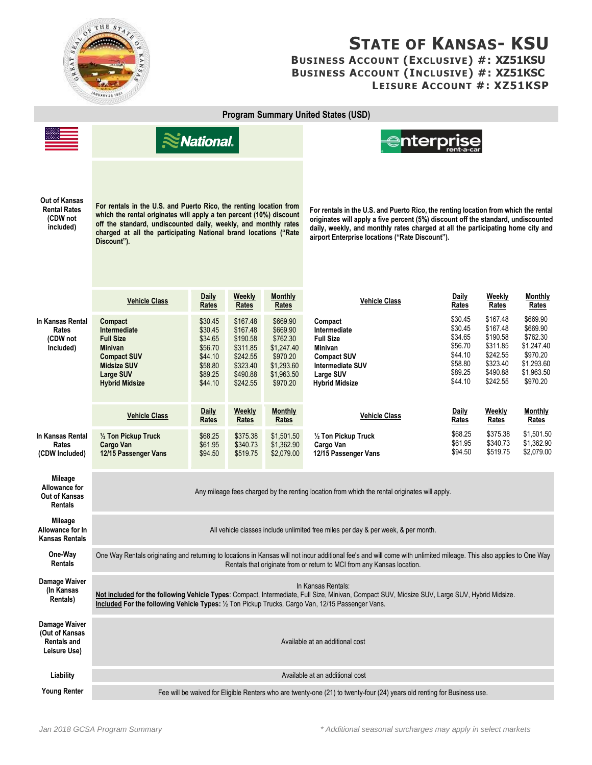

## **STATE OF KANSAS- KSU BUSINESS ACCOUNT (EXCLUSIVE) #: XZ51KSU BUSINESS ACCOUNT (INCLUSIVE) #: XZ51KSC LEISURE ACCOUNT #: XZ51KSP**

| <b>Program Summary United States (USD)</b>                            |                                                                                                                                                                                                                                                                                                 |                                                                                      |                                                                                              |                                                                                                    |                                                                                                                                                                                                                                                                                                                |                                                                                      |                                                                                              |                                                                                                    |
|-----------------------------------------------------------------------|-------------------------------------------------------------------------------------------------------------------------------------------------------------------------------------------------------------------------------------------------------------------------------------------------|--------------------------------------------------------------------------------------|----------------------------------------------------------------------------------------------|----------------------------------------------------------------------------------------------------|----------------------------------------------------------------------------------------------------------------------------------------------------------------------------------------------------------------------------------------------------------------------------------------------------------------|--------------------------------------------------------------------------------------|----------------------------------------------------------------------------------------------|----------------------------------------------------------------------------------------------------|
|                                                                       | $\leq$ National.                                                                                                                                                                                                                                                                                |                                                                                      |                                                                                              |                                                                                                    | <del>@</del> nterprise                                                                                                                                                                                                                                                                                         |                                                                                      |                                                                                              |                                                                                                    |
| Out of Kansas<br><b>Rental Rates</b><br>(CDW not<br>included)         | For rentals in the U.S. and Puerto Rico, the renting location from<br>which the rental originates will apply a ten percent (10%) discount<br>off the standard, undiscounted daily, weekly, and monthly rates<br>charged at all the participating National brand locations ("Rate<br>Discount"). |                                                                                      |                                                                                              |                                                                                                    | For rentals in the U.S. and Puerto Rico, the renting location from which the rental<br>originates will apply a five percent (5%) discount off the standard, undiscounted<br>daily, weekly, and monthly rates charged at all the participating home city and<br>airport Enterprise locations ("Rate Discount"). |                                                                                      |                                                                                              |                                                                                                    |
|                                                                       | <b>Vehicle Class</b>                                                                                                                                                                                                                                                                            | <b>Daily</b><br>Rates                                                                | <b>Weekly</b><br>Rates                                                                       | <b>Monthly</b><br>Rates                                                                            | <b>Vehicle Class</b>                                                                                                                                                                                                                                                                                           | <b>Daily</b><br>Rates                                                                | Weekly<br>Rates                                                                              | <b>Monthly</b><br>Rates                                                                            |
| In Kansas Rental<br><b>Rates</b><br>(CDW not<br>Included)             | Compact<br>Intermediate<br><b>Full Size</b><br><b>Minivan</b><br><b>Compact SUV</b><br><b>Midsize SUV</b><br><b>Large SUV</b><br><b>Hybrid Midsize</b>                                                                                                                                          | \$30.45<br>\$30.45<br>\$34.65<br>\$56.70<br>\$44.10<br>\$58.80<br>\$89.25<br>\$44.10 | \$167.48<br>\$167.48<br>\$190.58<br>\$311.85<br>\$242.55<br>\$323.40<br>\$490.88<br>\$242.55 | \$669.90<br>\$669.90<br>\$762.30<br>\$1,247.40<br>\$970.20<br>\$1,293.60<br>\$1,963.50<br>\$970.20 | Compact<br>Intermediate<br><b>Full Size</b><br>Minivan<br><b>Compact SUV</b><br>Intermediate SUV<br>Large SUV<br><b>Hybrid Midsize</b>                                                                                                                                                                         | \$30.45<br>\$30.45<br>\$34.65<br>\$56.70<br>\$44.10<br>\$58.80<br>\$89.25<br>\$44.10 | \$167.48<br>\$167.48<br>\$190.58<br>\$311.85<br>\$242.55<br>\$323.40<br>\$490.88<br>\$242.55 | \$669.90<br>\$669.90<br>\$762.30<br>\$1.247.40<br>\$970.20<br>\$1,293.60<br>\$1,963.50<br>\$970.20 |
|                                                                       | <b>Vehicle Class</b>                                                                                                                                                                                                                                                                            | <b>Daily</b><br><b>Rates</b>                                                         | Weekly<br>Rates                                                                              | <b>Monthly</b><br>Rates                                                                            | <b>Vehicle Class</b>                                                                                                                                                                                                                                                                                           | Daily<br>Rates                                                                       | Weekly<br>Rates                                                                              | Monthly<br>Rates                                                                                   |
| In Kansas Rental<br>Rates<br>(CDW Included)                           | 1/2 Ton Pickup Truck<br><b>Cargo Van</b><br>12/15 Passenger Vans                                                                                                                                                                                                                                | \$68.25<br>\$61.95<br>\$94.50                                                        | \$375.38<br>\$340.73<br>\$519.75                                                             | \$1,501.50<br>\$1,362.90<br>\$2,079.00                                                             | 1/2 Ton Pickup Truck<br>Cargo Van<br>12/15 Passenger Vans                                                                                                                                                                                                                                                      | \$68.25<br>\$61.95<br>\$94.50                                                        | \$375.38<br>\$340.73<br>\$519.75                                                             | \$1,501.50<br>\$1,362.90<br>\$2,079.00                                                             |
| Mileage<br>Allowance for<br>Out of Kansas<br><b>Rentals</b>           | Any mileage fees charged by the renting location from which the rental originates will apply.                                                                                                                                                                                                   |                                                                                      |                                                                                              |                                                                                                    |                                                                                                                                                                                                                                                                                                                |                                                                                      |                                                                                              |                                                                                                    |
| Mileage<br>Allowance for In<br><b>Kansas Rentals</b>                  | All vehicle classes include unlimited free miles per day & per week, & per month.                                                                                                                                                                                                               |                                                                                      |                                                                                              |                                                                                                    |                                                                                                                                                                                                                                                                                                                |                                                                                      |                                                                                              |                                                                                                    |
| One-Way<br><b>Rentals</b>                                             | One Way Rentals originating and returning to locations in Kansas will not incur additional fee's and will come with unlimited mileage. This also applies to One Way<br>Rentals that originate from or return to MCI from any Kansas location.                                                   |                                                                                      |                                                                                              |                                                                                                    |                                                                                                                                                                                                                                                                                                                |                                                                                      |                                                                                              |                                                                                                    |
| Damage Waiver<br>(In Kansas<br>Rentals)                               | In Kansas Rentals:<br>Not included for the following Vehicle Types: Compact, Intermediate, Full Size, Minivan, Compact SUV, Midsize SUV, Large SUV, Hybrid Midsize.<br>Included For the following Vehicle Types: 1/2 Ton Pickup Trucks, Cargo Van, 12/15 Passenger Vans.                        |                                                                                      |                                                                                              |                                                                                                    |                                                                                                                                                                                                                                                                                                                |                                                                                      |                                                                                              |                                                                                                    |
| Damage Waiver<br>(Out of Kansas<br><b>Rentals and</b><br>Leisure Use) | Available at an additional cost                                                                                                                                                                                                                                                                 |                                                                                      |                                                                                              |                                                                                                    |                                                                                                                                                                                                                                                                                                                |                                                                                      |                                                                                              |                                                                                                    |
| Liability                                                             | Available at an additional cost                                                                                                                                                                                                                                                                 |                                                                                      |                                                                                              |                                                                                                    |                                                                                                                                                                                                                                                                                                                |                                                                                      |                                                                                              |                                                                                                    |
| <b>Young Renter</b>                                                   | Fee will be waived for Eligible Renters who are twenty-one (21) to twenty-four (24) years old renting for Business use.                                                                                                                                                                         |                                                                                      |                                                                                              |                                                                                                    |                                                                                                                                                                                                                                                                                                                |                                                                                      |                                                                                              |                                                                                                    |